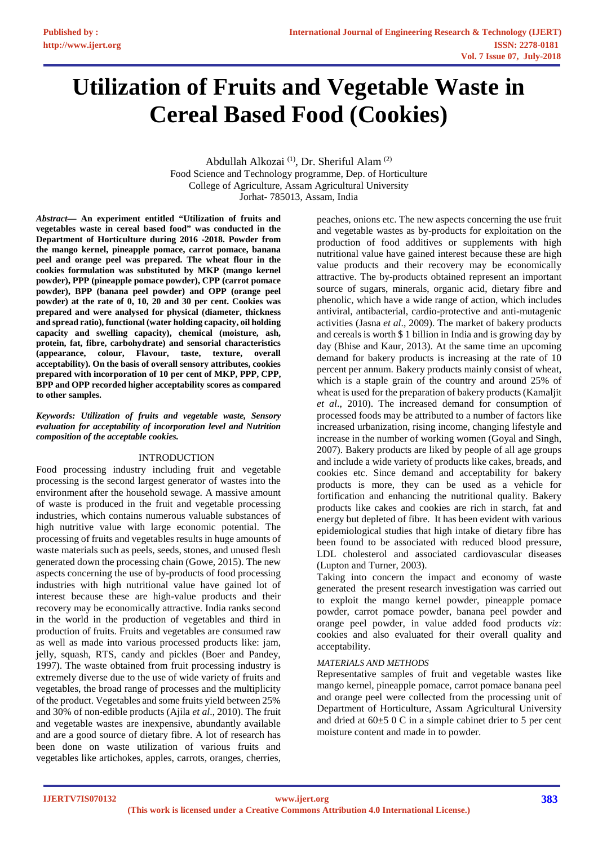# **Utilization of Fruits and Vegetable Waste in Cereal Based Food (Cookies)**

Abdullah Alkozai (1), Dr. Sheriful Alam (2) Food Science and Technology programme, Dep. of Horticulture College of Agriculture, Assam Agricultural University Jorhat- 785013, Assam, India

*Abstract***— An experiment entitled "Utilization of fruits and vegetables waste in cereal based food" was conducted in the Department of Horticulture during 2016 -2018. Powder from the mango kernel, pineapple pomace, carrot pomace, banana peel and orange peel was prepared. The wheat flour in the cookies formulation was substituted by MKP (mango kernel powder), PPP (pineapple pomace powder), CPP (carrot pomace powder), BPP (banana peel powder) and OPP (orange peel powder) at the rate of 0, 10, 20 and 30 per cent. Cookies was prepared and were analysed for physical (diameter, thickness and spread ratio), functional (water holding capacity, oil holding capacity and swelling capacity), chemical (moisture, ash, protein, fat, fibre, carbohydrate) and sensorial characteristics (appearance, colour, Flavour, taste, texture, overall acceptability). On the basis of overall sensory attributes, cookies prepared with incorporation of 10 per cent of MKP, PPP, CPP, BPP and OPP recorded higher acceptability scores as compared to other samples.**

*Keywords: Utilization of fruits and vegetable waste, Sensory evaluation for acceptability of incorporation level and Nutrition composition of the acceptable cookies.*

### INTRODUCTION

Food processing industry including fruit and vegetable processing is the second largest generator of wastes into the environment after the household sewage. A massive amount of waste is produced in the fruit and vegetable processing industries, which contains numerous valuable substances of high nutritive value with large economic potential. The processing of fruits and vegetables results in huge amounts of waste materials such as peels, seeds, stones, and unused flesh generated down the processing chain (Gowe, 2015). The new aspects concerning the use of by-products of food processing industries with high nutritional value have gained lot of interest because these are high-value products and their recovery may be economically attractive. India ranks second in the world in the production of vegetables and third in production of fruits. Fruits and vegetables are consumed raw as well as made into various processed products like: jam, jelly, squash, RTS, candy and pickles (Boer and Pandey, 1997). The waste obtained from fruit processing industry is extremely diverse due to the use of wide variety of fruits and vegetables, the broad range of processes and the multiplicity of the product. Vegetables and some fruits yield between 25% and 30% of non-edible products (Ajila *et al*., 2010). The fruit and vegetable wastes are inexpensive, abundantly available and are a good source of dietary fibre. A lot of research has been done on waste utilization of various fruits and vegetables like artichokes, apples, carrots, oranges, cherries,

peaches, onions etc. The new aspects concerning the use fruit and vegetable wastes as by-products for exploitation on the production of food additives or supplements with high nutritional value have gained interest because these are high value products and their recovery may be economically attractive. The by-products obtained represent an important source of sugars, minerals, organic acid, dietary fibre and phenolic, which have a wide range of action, which includes antiviral, antibacterial, cardio-protective and anti-mutagenic activities (Jasna *et al*., 2009). The market of bakery products and cereals is worth \$ 1 billion in India and is growing day by day (Bhise and Kaur, 2013). At the same time an upcoming demand for bakery products is increasing at the rate of 10 percent per annum. Bakery products mainly consist of wheat, which is a staple grain of the country and around 25% of wheat is used for the preparation of bakery products (Kamaljit *et al*., 2010). The increased demand for consumption of processed foods may be attributed to a number of factors like increased urbanization, rising income, changing lifestyle and increase in the number of working women (Goyal and Singh, 2007). Bakery products are liked by people of all age groups and include a wide variety of products like cakes, breads, and cookies etc. Since demand and acceptability for bakery products is more, they can be used as a vehicle for fortification and enhancing the nutritional quality. Bakery products like cakes and cookies are rich in starch, fat and energy but depleted of fibre. It has been evident with various epidemiological studies that high intake of dietary fibre has been found to be associated with reduced blood pressure, LDL cholesterol and associated cardiovascular diseases (Lupton and Turner, 2003).

Taking into concern the impact and economy of waste generated the present research investigation was carried out to exploit the mango kernel powder, pineapple pomace powder, carrot pomace powder, banana peel powder and orange peel powder, in value added food products *viz*: cookies and also evaluated for their overall quality and acceptability.

### *MATERIALS AND METHODS*

Representative samples of fruit and vegetable wastes like mango kernel, pineapple pomace, carrot pomace banana peel and orange peel were collected from the processing unit of Department of Horticulture, Assam Agricultural University and dried at 60±5 0 C in a simple cabinet drier to 5 per cent moisture content and made in to powder.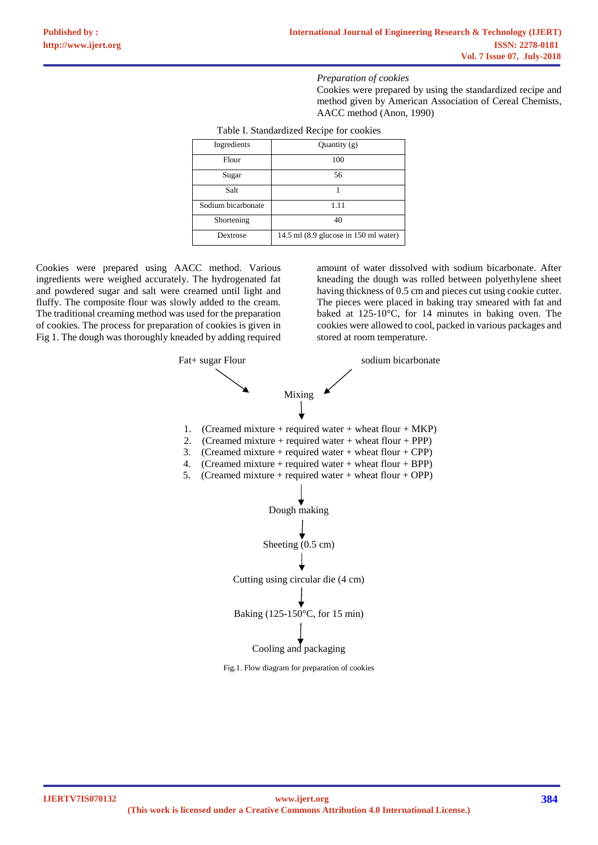#### *Preparation of cookies*

Cookies were prepared by using the standardized recipe and method given by American Association of Cereal Chemists, AACC method (Anon, 1990)

| I able I. Standardized Recipe for cookies |                                       |  |  |  |  |
|-------------------------------------------|---------------------------------------|--|--|--|--|
| Ingredients                               | Quantity $(g)$                        |  |  |  |  |
| Flour                                     | 100                                   |  |  |  |  |
| Sugar                                     | 56                                    |  |  |  |  |
| Salt                                      |                                       |  |  |  |  |
| Sodium bicarbonate                        | 1.11                                  |  |  |  |  |
| Shortening                                | 40                                    |  |  |  |  |
| Dextrose                                  | 14.5 ml (8.9 glucose in 150 ml water) |  |  |  |  |

Table I. Standardized Recipe for cookies

Cookies were prepared using AACC method. Various ingredients were weighed accurately. The hydrogenated fat and powdered sugar and salt were creamed until light and fluffy. The composite flour was slowly added to the cream. The traditional creaming method was used for the preparation of cookies. The process for preparation of cookies is given in Fig 1. The dough was thoroughly kneaded by adding required

amount of water dissolved with sodium bicarbonate. After kneading the dough was rolled between polyethylene sheet having thickness of 0.5 cm and pieces cut using cookie cutter. The pieces were placed in baking tray smeared with fat and baked at 125-10°C, for 14 minutes in baking oven. The cookies were allowed to cool, packed in various packages and stored at room temperature.



Fig.1. Flow diagram for preparation of cookies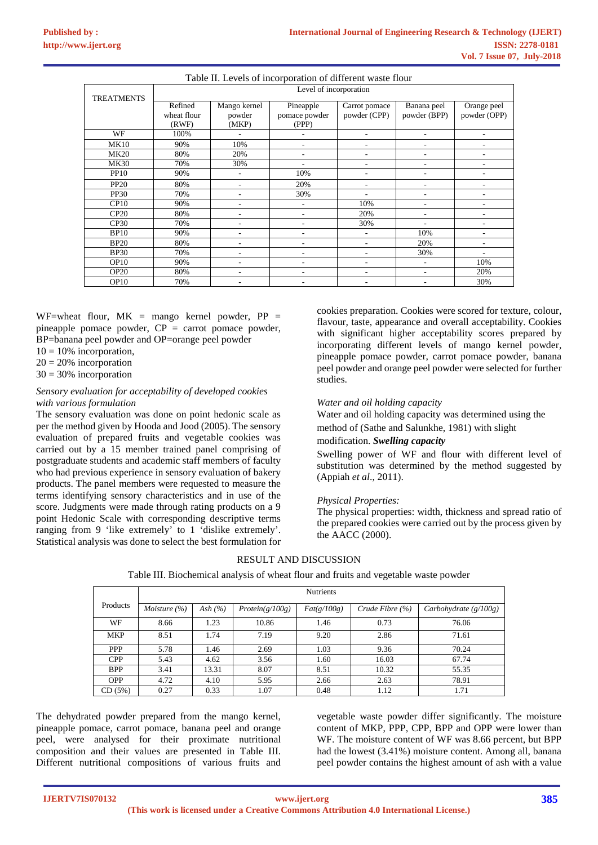| Table II. Levels of incorporation of different waste flour |             |                        |               |               |              |              |  |  |
|------------------------------------------------------------|-------------|------------------------|---------------|---------------|--------------|--------------|--|--|
| <b>TREATMENTS</b>                                          |             | Level of incorporation |               |               |              |              |  |  |
|                                                            | Refined     | Mango kernel           | Pineapple     | Carrot pomace | Banana peel  | Orange peel  |  |  |
|                                                            | wheat flour | powder                 | pomace powder | powder (CPP)  | powder (BPP) | powder (OPP) |  |  |
|                                                            | (RWF)       | (MKP)                  | (PPP)         |               |              |              |  |  |
| WF                                                         | 100%        |                        |               |               |              |              |  |  |
| <b>MK10</b>                                                | 90%         | 10%                    | ۰             |               |              |              |  |  |
| <b>MK20</b>                                                | 80%         | 20%                    |               |               |              |              |  |  |
| <b>MK30</b>                                                | 70%         | 30%                    |               |               |              |              |  |  |
| <b>PP10</b>                                                | 90%         | ۰                      | 10%           |               |              |              |  |  |
| <b>PP20</b>                                                | 80%         | ٠                      | 20%           |               |              |              |  |  |
| <b>PP30</b>                                                | 70%         |                        | 30%           |               |              |              |  |  |
| CP10                                                       | 90%         | ۰                      | ۰             | 10%           | ٠            |              |  |  |
| CP20                                                       | 80%         |                        |               | 20%           |              |              |  |  |
| CP30                                                       | 70%         | ۰                      | ۰             | 30%           |              |              |  |  |
| <b>BP10</b>                                                | 90%         | ۰                      |               |               | 10%          |              |  |  |
| <b>BP20</b>                                                | 80%         |                        |               |               | 20%          |              |  |  |
| <b>BP30</b>                                                | 70%         | ٠                      |               |               | 30%          |              |  |  |
| OP <sub>10</sub>                                           | 90%         | ۰                      |               |               |              | 10%          |  |  |
| <b>OP20</b>                                                | 80%         |                        |               |               |              | 20%          |  |  |
| OP10                                                       | 70%         | ۰                      |               |               | ٠            | 30%          |  |  |

WF=wheat flour,  $MK =$  mango kernel powder,  $PP =$ pineapple pomace powder,  $CP =$  carrot pomace powder, BP=banana peel powder and OP=orange peel powder

 $10 = 10\%$  incorporation,

 $20 = 20\%$  incorporation

 $30 = 30\%$  incorporation

#### *Sensory evaluation for acceptability of developed cookies with various formulation*

The sensory evaluation was done on point hedonic scale as per the method given by Hooda and Jood (2005). The sensory evaluation of prepared fruits and vegetable cookies was carried out by a 15 member trained panel comprising of postgraduate students and academic staff members of faculty who had previous experience in sensory evaluation of bakery products. The panel members were requested to measure the terms identifying sensory characteristics and in use of the score. Judgments were made through rating products on a 9 point Hedonic Scale with corresponding descriptive terms ranging from 9 'like extremely' to 1 'dislike extremely'. Statistical analysis was done to select the best formulation for

cookies preparation. Cookies were scored for texture, colour, flavour, taste, appearance and overall acceptability. Cookies with significant higher acceptability scores prepared by incorporating different levels of mango kernel powder, pineapple pomace powder, carrot pomace powder, banana peel powder and orange peel powder were selected for further studies.

### *Water and oil holding capacity*

Water and oil holding capacity was determined using the method of (Sathe and Salunkhe, 1981) with slight

### modification. *Swelling capacity*

Swelling power of WF and flour with different level of substitution was determined by the method suggested by (Appiah *et al*., 2011).

### *Physical Properties:*

The physical properties: width, thickness and spread ratio of the prepared cookies were carried out by the process given by the AACC (2000).

### RESULT AND DISCUSSION

Table III. Biochemical analysis of wheat flour and fruits and vegetable waste powder

|            |                  | <b>Nutrients</b> |                 |             |                     |                         |  |  |  |
|------------|------------------|------------------|-----------------|-------------|---------------------|-------------------------|--|--|--|
| Products   | Moisture $(\% )$ | Ash $(%$         | Protein(g/100g) | Fat(g/100g) | Crude Fibre $(\% )$ | Carbohydrate $(g/100g)$ |  |  |  |
| <b>WF</b>  | 8.66             | 1.23             | 10.86           | 1.46        | 0.73                | 76.06                   |  |  |  |
| <b>MKP</b> | 8.51             | 1.74             | 7.19            | 9.20        | 2.86                | 71.61                   |  |  |  |
| <b>PPP</b> | 5.78             | 1.46             | 2.69            | 1.03        | 9.36                | 70.24                   |  |  |  |
| <b>CPP</b> | 5.43             | 4.62             | 3.56            | 1.60        | 16.03               | 67.74                   |  |  |  |
| <b>BPP</b> | 3.41             | 13.31            | 8.07            | 8.51        | 10.32               | 55.35                   |  |  |  |
| <b>OPP</b> | 4.72             | 4.10             | 5.95            | 2.66        | 2.63                | 78.91                   |  |  |  |
| CD(5%)     | 0.27             | 0.33             | 1.07            | 0.48        | 1.12                | 1.71                    |  |  |  |

The dehydrated powder prepared from the mango kernel, pineapple pomace, carrot pomace, banana peel and orange peel, were analysed for their proximate nutritional composition and their values are presented in Table III. Different nutritional compositions of various fruits and

vegetable waste powder differ significantly. The moisture content of MKP, PPP, CPP, BPP and OPP were lower than WF. The moisture content of WF was 8.66 percent, but BPP had the lowest (3.41%) moisture content. Among all, banana peel powder contains the highest amount of ash with a value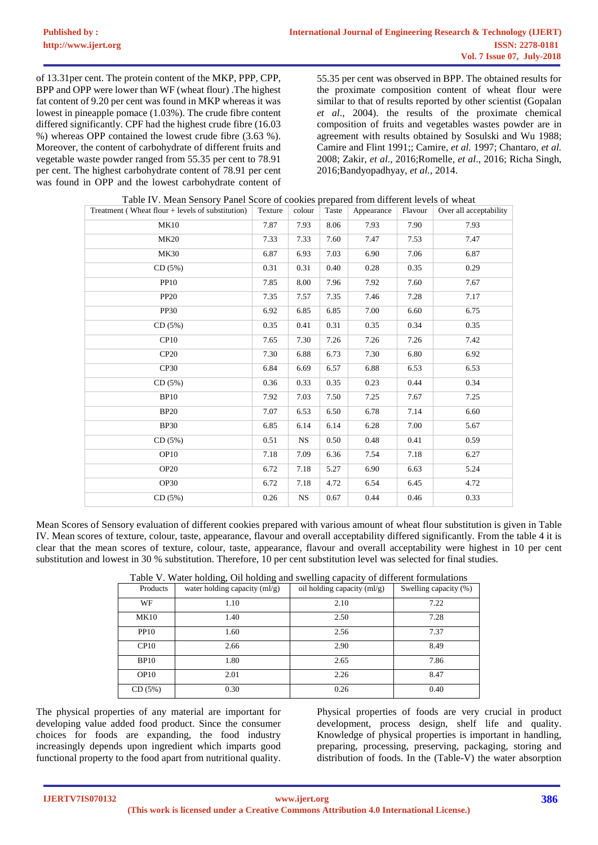of 13.31per cent. The protein content of the MKP, PPP, CPP, BPP and OPP were lower than WF (wheat flour) .The highest fat content of 9.20 per cent was found in MKP whereas it was lowest in pineapple pomace (1.03%). The crude fibre content differed significantly. CPF had the highest crude fibre (16.03 %) whereas OPP contained the lowest crude fibre (3.63 %). Moreover, the content of carbohydrate of different fruits and vegetable waste powder ranged from 55.35 per cent to 78.91 per cent. The highest carbohydrate content of 78.91 per cent was found in OPP and the lowest carbohydrate content of

55.35 per cent was observed in BPP. The obtained results for the proximate composition content of wheat flour were similar to that of results reported by other scientist (Gopalan *et al*., 2004). the results of the proximate chemical composition of fruits and vegetables wastes powder are in agreement with results obtained by Sosulski and Wu 1988; Camire and Flint 1991;; Camire, *et al.* 1997; Chantaro, *et al.*  2008; Zakir, *et al*., 2016;Romelle, *et al*., 2016; Richa Singh, 2016;Bandyopadhyay, *et al.*, 2014.

| Treatment (Wheat flour $+$ levels of substitution) | Texture | colour    | Taste | Appearance | Flavour | Over all acceptability |
|----------------------------------------------------|---------|-----------|-------|------------|---------|------------------------|
| <b>MK10</b>                                        | 7.87    | 7.93      | 8.06  | 7.93       | 7.90    | 7.93                   |
| <b>MK20</b>                                        | 7.33    | 7.33      | 7.60  | 7.47       | 7.53    | 7.47                   |
| <b>MK30</b>                                        | 6.87    | 6.93      | 7.03  | 6.90       | 7.06    | 6.87                   |
| CD(5%)                                             | 0.31    | 0.31      | 0.40  | 0.28       | 0.35    | 0.29                   |
| <b>PP10</b>                                        | 7.85    | 8.00      | 7.96  | 7.92       | 7.60    | 7.67                   |
| <b>PP20</b>                                        | 7.35    | 7.57      | 7.35  | 7.46       | 7.28    | 7.17                   |
| <b>PP30</b>                                        | 6.92    | 6.85      | 6.85  | 7.00       | 6.60    | 6.75                   |
| CD(5%)                                             | 0.35    | 0.41      | 0.31  | 0.35       | 0.34    | 0.35                   |
| CP10                                               | 7.65    | 7.30      | 7.26  | 7.26       | 7.26    | 7.42                   |
| <b>CP20</b>                                        | 7.30    | 6.88      | 6.73  | 7.30       | 6.80    | 6.92                   |
| CP30                                               | 6.84    | 6.69      | 6.57  | 6.88       | 6.53    | 6.53                   |
| CD(5%)                                             | 0.36    | 0.33      | 0.35  | 0.23       | 0.44    | 0.34                   |
| <b>BP10</b>                                        | 7.92    | 7.03      | 7.50  | 7.25       | 7.67    | 7.25                   |
| <b>BP20</b>                                        | 7.07    | 6.53      | 6.50  | 6.78       | 7.14    | 6.60                   |
| <b>BP30</b>                                        | 6.85    | 6.14      | 6.14  | 6.28       | 7.00    | 5.67                   |
| CD(5%)                                             | 0.51    | <b>NS</b> | 0.50  | 0.48       | 0.41    | 0.59                   |
| OP <sub>10</sub>                                   | 7.18    | 7.09      | 6.36  | 7.54       | 7.18    | 6.27                   |
| <b>OP20</b>                                        | 6.72    | 7.18      | 5.27  | 6.90       | 6.63    | 5.24                   |
| <b>OP30</b>                                        | 6.72    | 7.18      | 4.72  | 6.54       | 6.45    | 4.72                   |
| CD(5%)                                             | 0.26    | <b>NS</b> | 0.67  | 0.44       | 0.46    | 0.33                   |

Table IV. Mean Sensory Panel Score of cookies prepared from different levels of wheat

Mean Scores of Sensory evaluation of different cookies prepared with various amount of wheat flour substitution is given in Table IV. Mean scores of texture, colour, taste, appearance, flavour and overall acceptability differed significantly. From the table 4 it is clear that the mean scores of texture, colour, taste, appearance, flavour and overall acceptability were highest in 10 per cent substitution and lowest in 30 % substitution. Therefore, 10 per cent substitution level was selected for final studies.

| Table V. Water holding, On holding and swelling capacity of different formulations |                               |                             |                       |  |  |  |  |
|------------------------------------------------------------------------------------|-------------------------------|-----------------------------|-----------------------|--|--|--|--|
| Products                                                                           | water holding capacity (ml/g) | oil holding capacity (ml/g) | Swelling capacity (%) |  |  |  |  |
| <b>WF</b>                                                                          | 1.10                          | 2.10                        | 7.22                  |  |  |  |  |
| <b>MK10</b>                                                                        | 1.40                          | 2.50                        | 7.28                  |  |  |  |  |
| <b>PP10</b>                                                                        | 1.60                          | 2.56                        | 7.37                  |  |  |  |  |
| CP10                                                                               | 2.66                          | 2.90                        | 8.49                  |  |  |  |  |
| <b>BP10</b>                                                                        | 1.80                          | 2.65                        | 7.86                  |  |  |  |  |
| OP10                                                                               | 2.01                          | 2.26                        | 8.47                  |  |  |  |  |
| CD(5%)                                                                             | 0.30                          | 0.26                        | 0.40                  |  |  |  |  |

Table V. Water holding, Oil holding and swelling capacity of different formulations

The physical properties of any material are important for developing value added food product. Since the consumer choices for foods are expanding, the food industry increasingly depends upon ingredient which imparts good functional property to the food apart from nutritional quality.

Physical properties of foods are very crucial in product development, process design, shelf life and quality. Knowledge of physical properties is important in handling, preparing, processing, preserving, packaging, storing and distribution of foods. In the (Table-V) the water absorption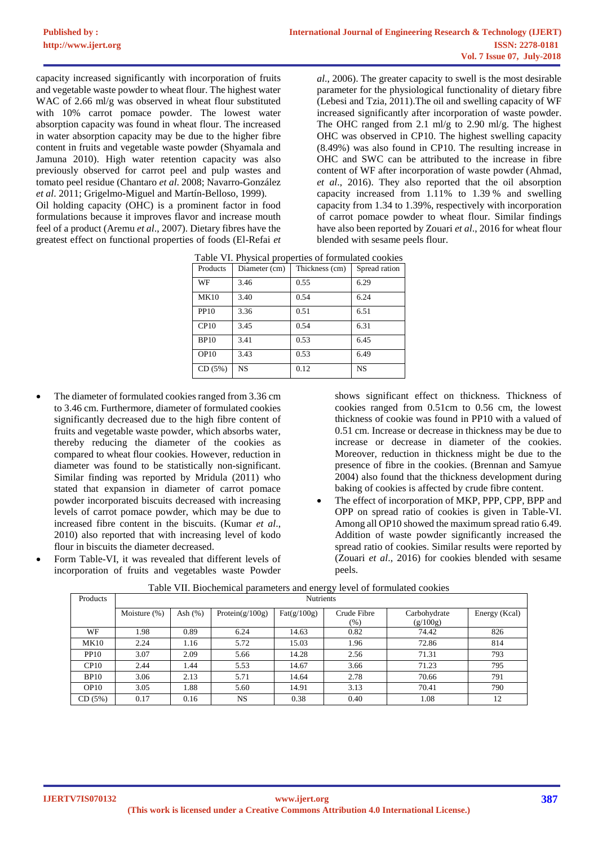capacity increased significantly with incorporation of fruits and vegetable waste powder to wheat flour. The highest water WAC of 2.66 ml/g was observed in wheat flour substituted with 10% carrot pomace powder. The lowest water absorption capacity was found in wheat flour. The increased in water absorption capacity may be due to the higher fibre content in fruits and vegetable waste powder (Shyamala and Jamuna 2010). High water retention capacity was also previously observed for carrot peel and pulp wastes and tomato peel residue (Chantaro *et al*. 2008; Navarro-González *et al*. 2011; Grigelmo-Miguel and Martín-Belloso, 1999).

Oil holding capacity (OHC) is a prominent factor in food formulations because it improves flavor and increase mouth feel of a product (Aremu *et al*., 2007). Dietary fibres have the greatest effect on functional properties of foods (El-Refai *et*  *al*., 2006). The greater capacity to swell is the most desirable parameter for the physiological functionality of dietary fibre (Lebesi and Tzia, 2011).The oil and swelling capacity of WF increased significantly after incorporation of waste powder. The OHC ranged from 2.1 ml/g to 2.90 ml/g. The highest OHC was observed in CP10. The highest swelling capacity (8.49%) was also found in CP10. The resulting increase in OHC and SWC can be attributed to the increase in fibre content of WF after incorporation of waste powder (Ahmad, *et al*., 2016). They also reported that the oil absorption capacity increased from 1.11% to 1.39 % and swelling capacity from 1.34 to 1.39%, respectively with incorporation of carrot pomace powder to wheat flour. Similar findings have also been reported by Zouari *et al*., 2016 for wheat flour blended with sesame peels flour.

| Products    | Diameter (cm) | Thickness (cm) | Spread ration |
|-------------|---------------|----------------|---------------|
| WF          | 3.46          | 0.55           | 6.29          |
| <b>MK10</b> | 3.40          | 0.54           | 6.24          |
| <b>PP10</b> | 3.36          | 0.51           | 6.51          |
| CP10        | 3.45          | 0.54           | 6.31          |
| <b>BP10</b> | 3.41          | 0.53           | 6.45          |
| OP10        | 3.43          | 0.53           | 6.49          |
| CD(5%)      | <b>NS</b>     | 0.12           | <b>NS</b>     |

|  | Table VI. Physical properties of formulated cookies |  |
|--|-----------------------------------------------------|--|
|  | Buoduata Diamatan (am) Thialmaga (am) Sumaad nation |  |

- The diameter of formulated cookies ranged from 3.36 cm to 3.46 cm. Furthermore, diameter of formulated cookies significantly decreased due to the high fibre content of fruits and vegetable waste powder, which absorbs water, thereby reducing the diameter of the cookies as compared to wheat flour cookies. However, reduction in diameter was found to be statistically non-significant. Similar finding was reported by Mridula (2011) who stated that expansion in diameter of carrot pomace powder incorporated biscuits decreased with increasing levels of carrot pomace powder, which may be due to increased fibre content in the biscuits. (Kumar *et al*., 2010) also reported that with increasing level of kodo flour in biscuits the diameter decreased.
- Form Table-VI, it was revealed that different levels of incorporation of fruits and vegetables waste Powder

shows significant effect on thickness. Thickness of cookies ranged from 0.51cm to 0.56 cm, the lowest thickness of cookie was found in PP10 with a valued of 0.51 cm. Increase or decrease in thickness may be due to increase or decrease in diameter of the cookies. Moreover, reduction in thickness might be due to the presence of fibre in the cookies. (Brennan and Samyue 2004) also found that the thickness development during baking of cookies is affected by crude fibre content.

The effect of incorporation of MKP, PPP, CPP, BPP and OPP on spread ratio of cookies is given in Table-VI. Among all OP10 showed the maximum spread ratio 6.49. Addition of waste powder significantly increased the spread ratio of cookies. Similar results were reported by (Zouari *et al*., 2016) for cookies blended with sesame peels.

| Products         | <b>Nutrients</b> |            |                    |                      |             |              |               |  |
|------------------|------------------|------------|--------------------|----------------------|-------------|--------------|---------------|--|
|                  | Moisture (%)     | Ash $(\%)$ | Protein $(g/100g)$ | $\text{Fat}(g/100g)$ | Crude Fibre | Carbohydrate | Energy (Kcal) |  |
|                  |                  |            |                    |                      | $(\% )$     | (g/100g)     |               |  |
| WF               | 1.98             | 0.89       | 6.24               | 14.63                | 0.82        | 74.42        | 826           |  |
| <b>MK10</b>      | 2.24             | 1.16       | 5.72               | 15.03                | 1.96        | 72.86        | 814           |  |
| <b>PP10</b>      | 3.07             | 2.09       | 5.66               | 14.28                | 2.56        | 71.31        | 793           |  |
| CP10             | 2.44             | l.44       | 5.53               | 14.67                | 3.66        | 71.23        | 795           |  |
| <b>BP10</b>      | 3.06             | 2.13       | 5.71               | 14.64                | 2.78        | 70.66        | 791           |  |
| OP <sub>10</sub> | 3.05             | .88        | 5.60               | 14.91                | 3.13        | 70.41        | 790           |  |
| CD(5%)           | 0.17             | 0.16       | <b>NS</b>          | 0.38                 | 0.40        | 1.08         | 12            |  |

|  | Table VII. Biochemical parameters and energy level of formulated cookies |
|--|--------------------------------------------------------------------------|
|  |                                                                          |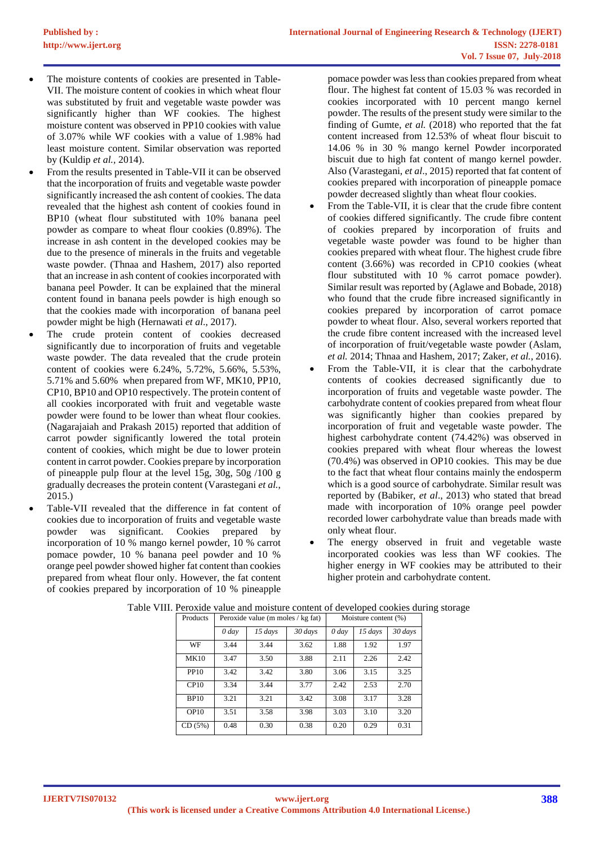- The moisture contents of cookies are presented in Table-VII. The moisture content of cookies in which wheat flour was substituted by fruit and vegetable waste powder was significantly higher than WF cookies. The highest moisture content was observed in PP10 cookies with value of 3.07% while WF cookies with a value of 1.98% had least moisture content. Similar observation was reported by (Kuldip *et al.,* 2014).
- From the results presented in Table-VII it can be observed that the incorporation of fruits and vegetable waste powder significantly increased the ash content of cookies. The data revealed that the highest ash content of cookies found in BP10 (wheat flour substituted with 10% banana peel powder as compare to wheat flour cookies (0.89%). The increase in ash content in the developed cookies may be due to the presence of minerals in the fruits and vegetable waste powder. (Thnaa and Hashem, 2017) also reported that an increase in ash content of cookies incorporated with banana peel Powder. It can be explained that the mineral content found in banana peels powder is high enough so that the cookies made with incorporation of banana peel powder might be high (Hernawati *et al*., 2017).
- The crude protein content of cookies decreased significantly due to incorporation of fruits and vegetable waste powder. The data revealed that the crude protein content of cookies were 6.24%, 5.72%, 5.66%, 5.53%, 5.71% and 5.60% when prepared from WF, MK10, PP10, CP10, BP10 and OP10 respectively. The protein content of all cookies incorporated with fruit and vegetable waste powder were found to be lower than wheat flour cookies. (Nagarajaiah and Prakash 2015) reported that addition of carrot powder significantly lowered the total protein content of cookies, which might be due to lower protein content in carrot powder. Cookies prepare by incorporation of pineapple pulp flour at the level 15g, 30g, 50g /100 g gradually decreases the protein content (Varastegani *et al.*, 2015.)
- Table-VII revealed that the difference in fat content of cookies due to incorporation of fruits and vegetable waste powder was significant. Cookies prepared by incorporation of 10 % mango kernel powder, 10 % carrot pomace powder, 10 % banana peel powder and 10 % orange peel powder showed higher fat content than cookies prepared from wheat flour only. However, the fat content of cookies prepared by incorporation of 10 % pineapple

pomace powder was less than cookies prepared from wheat flour. The highest fat content of 15.03 % was recorded in cookies incorporated with 10 percent mango kernel powder. The results of the present study were similar to the finding of Gumte, *et al.* (2018) who reported that the fat content increased from 12.53% of wheat flour biscuit to 14.06 % in 30 % mango kernel Powder incorporated biscuit due to high fat content of mango kernel powder. Also (Varastegani, *et al*., 2015) reported that fat content of cookies prepared with incorporation of pineapple pomace powder decreased slightly than wheat flour cookies.

- From the Table-VII, it is clear that the crude fibre content of cookies differed significantly. The crude fibre content of cookies prepared by incorporation of fruits and vegetable waste powder was found to be higher than cookies prepared with wheat flour. The highest crude fibre content (3.66%) was recorded in CP10 cookies (wheat flour substituted with 10 % carrot pomace powder). Similar result was reported by (Aglawe and Bobade, 2018) who found that the crude fibre increased significantly in cookies prepared by incorporation of carrot pomace powder to wheat flour. Also, several workers reported that the crude fibre content increased with the increased level of incorporation of fruit/vegetable waste powder (Aslam, *et al.* 2014; Thnaa and Hashem, 2017; Zaker, *et al.*, 2016).
- From the Table-VII, it is clear that the carbohydrate contents of cookies decreased significantly due to incorporation of fruits and vegetable waste powder. The carbohydrate content of cookies prepared from wheat flour was significantly higher than cookies prepared by incorporation of fruit and vegetable waste powder. The highest carbohydrate content (74.42%) was observed in cookies prepared with wheat flour whereas the lowest (70.4%) was observed in OP10 cookies. This may be due to the fact that wheat flour contains mainly the endosperm which is a good source of carbohydrate. Similar result was reported by (Babiker, *et al*., 2013) who stated that bread made with incorporation of 10% orange peel powder recorded lower carbohydrate value than breads made with only wheat flour.
- The energy observed in fruit and vegetable waste incorporated cookies was less than WF cookies. The higher energy in WF cookies may be attributed to their higher protein and carbohydrate content.

| Products         | Peroxide value (m moles / kg fat) |         |         | Moisture content (%) |         |         |
|------------------|-----------------------------------|---------|---------|----------------------|---------|---------|
|                  | $0$ day                           | 15 days | 30 days | $0$ day              | 15 days | 30 days |
| WF               | 3.44                              | 3.44    | 3.62    | 1.88                 | 1.92    | 1.97    |
| <b>MK10</b>      | 3.47                              | 3.50    | 3.88    | 2.11                 | 2.26    | 2.42    |
| <b>PP10</b>      | 3.42                              | 3.42    | 3.80    | 3.06                 | 3.15    | 3.25    |
| CP10             | 3.34                              | 3.44    | 3.77    | 2.42                 | 2.53    | 2.70    |
| <b>BP10</b>      | 3.21                              | 3.21    | 3.42    | 3.08                 | 3.17    | 3.28    |
| OP <sub>10</sub> | 3.51                              | 3.58    | 3.98    | 3.03                 | 3.10    | 3.20    |
| CD(5%)           | 0.48                              | 0.30    | 0.38    | 0.20                 | 0.29    | 0.31    |

### Table VIII. Peroxide value and moisture content of developed cookies during storage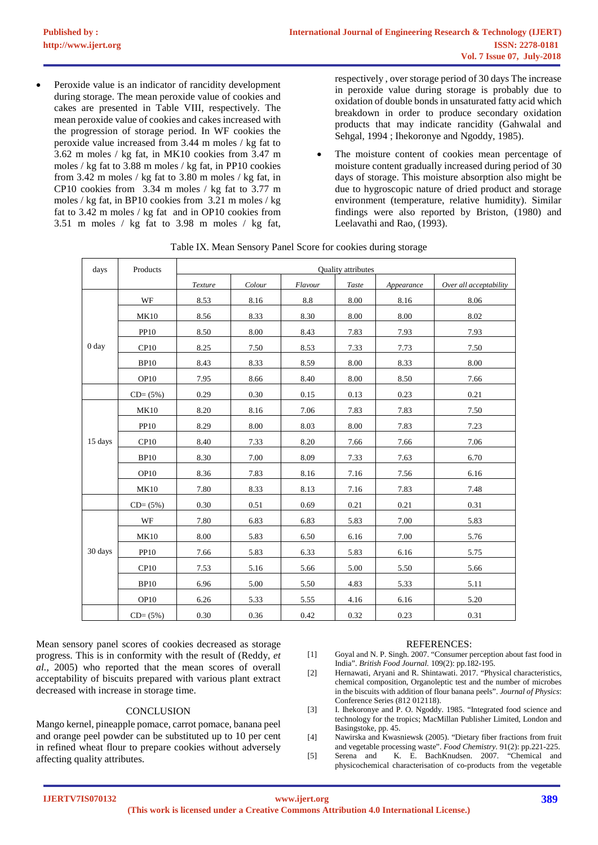Peroxide value is an indicator of rancidity development during storage. The mean peroxide value of cookies and cakes are presented in Table VIII, respectively. The mean peroxide value of cookies and cakes increased with the progression of storage period. In WF cookies the peroxide value increased from 3.44 m moles / kg fat to 3.62 m moles / kg fat, in MK10 cookies from 3.47 m moles / kg fat to 3.88 m moles / kg fat, in PP10 cookies from 3.42 m moles / kg fat to 3.80 m moles / kg fat, in CP10 cookies from 3.34 m moles / kg fat to 3.77 m moles / kg fat, in BP10 cookies from 3.21 m moles / kg fat to 3.42 m moles / kg fat and in OP10 cookies from 3.51 m moles / kg fat to 3.98 m moles / kg fat,

respectively , over storage period of 30 days The increase in peroxide value during storage is probably due to oxidation of double bonds in unsaturated fatty acid which breakdown in order to produce secondary oxidation products that may indicate rancidity (Gahwalal and Sehgal, 1994 ; Ihekoronye and Ngoddy, 1985).

The moisture content of cookies mean percentage of moisture content gradually increased during period of 30 days of storage. This moisture absorption also might be due to hygroscopic nature of dried product and storage environment (temperature, relative humidity). Similar findings were also reported by Briston, (1980) and Leelavathi and Rao, (1993).

| days             | Products         |         |        |         |       |            |                        |
|------------------|------------------|---------|--------|---------|-------|------------|------------------------|
|                  |                  | Texture | Colour | Flavour | Taste | Appearance | Over all acceptability |
|                  | WF               | 8.53    | 8.16   | 8.8     | 8.00  | 8.16       | 8.06                   |
|                  | <b>MK10</b>      | 8.56    | 8.33   | 8.30    | 8.00  | 8.00       | 8.02                   |
|                  | <b>PP10</b>      | 8.50    | 8.00   | 8.43    | 7.83  | 7.93       | 7.93                   |
| 0 <sub>day</sub> | CP10             | 8.25    | 7.50   | 8.53    | 7.33  | 7.73       | 7.50                   |
|                  | <b>BP10</b>      | 8.43    | 8.33   | 8.59    | 8.00  | 8.33       | 8.00                   |
|                  | OP10             | 7.95    | 8.66   | 8.40    | 8.00  | 8.50       | 7.66                   |
|                  | $CD = (5\%)$     | 0.29    | 0.30   | 0.15    | 0.13  | 0.23       | 0.21                   |
|                  | <b>MK10</b>      | 8.20    | 8.16   | 7.06    | 7.83  | 7.83       | 7.50                   |
|                  | <b>PP10</b>      | 8.29    | 8.00   | 8.03    | 8.00  | 7.83       | 7.23                   |
| 15 days          | CP10             | 8.40    | 7.33   | 8.20    | 7.66  | 7.66       | 7.06                   |
|                  | <b>BP10</b>      | 8.30    | 7.00   | 8.09    | 7.33  | 7.63       | 6.70                   |
|                  | OP10             | 8.36    | 7.83   | 8.16    | 7.16  | 7.56       | 6.16                   |
|                  | <b>MK10</b>      | 7.80    | 8.33   | 8.13    | 7.16  | 7.83       | 7.48                   |
|                  | $CD = (5\%)$     | 0.30    | 0.51   | 0.69    | 0.21  | 0.21       | 0.31                   |
|                  | WF               | 7.80    | 6.83   | 6.83    | 5.83  | 7.00       | 5.83                   |
|                  | <b>MK10</b>      | 8.00    | 5.83   | 6.50    | 6.16  | 7.00       | 5.76                   |
| 30 days          | <b>PP10</b>      | 7.66    | 5.83   | 6.33    | 5.83  | 6.16       | 5.75                   |
|                  | CP10             | 7.53    | 5.16   | 5.66    | 5.00  | 5.50       | 5.66                   |
|                  | <b>BP10</b>      | 6.96    | 5.00   | 5.50    | 4.83  | 5.33       | 5.11                   |
|                  | OP <sub>10</sub> | 6.26    | 5.33   | 5.55    | 4.16  | 6.16       | 5.20                   |
|                  | $CD = (5\%)$     | 0.30    | 0.36   | 0.42    | 0.32  | 0.23       | 0.31                   |

| Table IX. Mean Sensory Panel Score for cookies during storage |  |  |
|---------------------------------------------------------------|--|--|
|                                                               |  |  |

Mean sensory panel scores of cookies decreased as storage progress. This is in conformity with the result of (Reddy, *et al.,* 2005) who reported that the mean scores of overall acceptability of biscuits prepared with various plant extract decreased with increase in storage time.

## **CONCLUSION**

Mango kernel, pineapple pomace, carrot pomace, banana peel and orange peel powder can be substituted up to 10 per cent in refined wheat flour to prepare cookies without adversely affecting quality attributes.

#### REFERENCES:

- [1] Goyal and N. P. Singh. 2007. "Consumer perception about fast food in India". *British Food Journal.* 109(2): pp.182-195.
- [2] Hernawati, Aryani and R. Shintawati. 2017. "Physical characteristics, chemical composition, Organoleptic test and the number of microbes in the biscuits with addition of flour banana peels". *Journal of Physics*: Conference Series (812 012118).
- [3] I. Ihekoronye and P. O. Ngoddy. 1985. "Integrated food science and technology for the tropics; MacMillan Publisher Limited, London and Basingstoke, pp. 45.
- [4] Nawirska and Kwasniewsk (2005). "Dietary fiber fractions from fruit and vegetable processing waste". *Food Chemistry.* 91(2): pp.221-225.
- [5] Serena and K. E. BachKnudsen. 2007. "Chemical and physicochemical characterisation of co-products from the vegetable